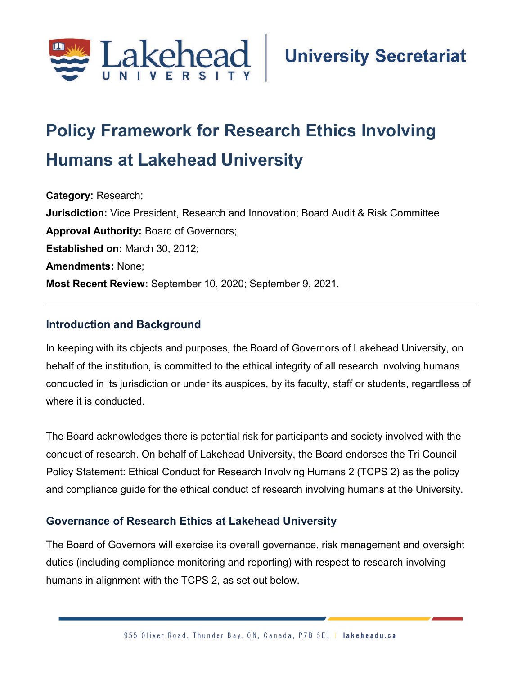

# **Policy Framework for Research Ethics Involving Humans at Lakehead University**

**Category:** Research; **Jurisdiction:** Vice President, Research and Innovation; Board Audit & Risk Committee **Approval Authority:** Board of Governors; **Established on:** March 30, 2012; **Amendments:** None; **Most Recent Review:** September 10, 2020; September 9, 2021.

#### **Introduction and Background**

In keeping with its objects and purposes, the Board of Governors of Lakehead University, on behalf of the institution, is committed to the ethical integrity of all research involving humans conducted in its jurisdiction or under its auspices, by its faculty, staff or students, regardless of where it is conducted.

The Board acknowledges there is potential risk for participants and society involved with the conduct of research. On behalf of Lakehead University, the Board endorses the Tri Council Policy Statement: Ethical Conduct for Research Involving Humans 2 (TCPS 2) as the policy and compliance guide for the ethical conduct of research involving humans at the University.

#### **Governance of Research Ethics at Lakehead University**

The Board of Governors will exercise its overall governance, risk management and oversight duties (including compliance monitoring and reporting) with respect to research involving humans in alignment with the TCPS 2, as set out below.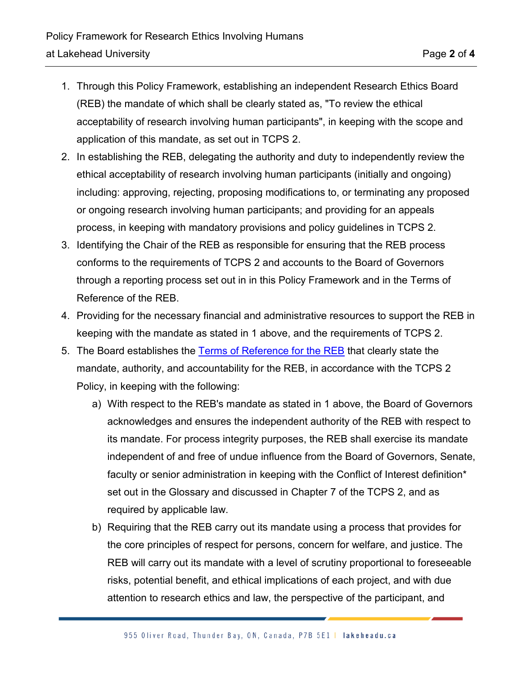- 1. Through this Policy Framework, establishing an independent Research Ethics Board (REB) the mandate of which shall be clearly stated as, "To review the ethical acceptability of research involving human participants", in keeping with the scope and application of this mandate, as set out in TCPS 2.
- 2. In establishing the REB, delegating the authority and duty to independently review the ethical acceptability of research involving human participants (initially and ongoing) including: approving, rejecting, proposing modifications to, or terminating any proposed or ongoing research involving human participants; and providing for an appeals process, in keeping with mandatory provisions and policy guidelines in TCPS 2.
- 3. Identifying the Chair of the REB as responsible for ensuring that the REB process conforms to the requirements of TCPS 2 and accounts to the Board of Governors through a reporting process set out in in this Policy Framework and in the Terms of Reference of the REB.
- 4. Providing for the necessary financial and administrative resources to support the REB in keeping with the mandate as stated in 1 above, and the requirements of TCPS 2.
- 5. The Board establishes the [Terms of Reference for the REB](https://www.lakeheadu.ca/sites/default/files/uploads/106/policies/Terms%20of%20Reference%20for%20Research%20Ethics%20Board%20%28REB%29.pdf) that clearly state the mandate, authority, and accountability for the REB, in accordance with the TCPS 2 Policy, in keeping with the following:
	- a) With respect to the REB's mandate as stated in 1 above, the Board of Governors acknowledges and ensures the independent authority of the REB with respect to its mandate. For process integrity purposes, the REB shall exercise its mandate independent of and free of undue influence from the Board of Governors, Senate, faculty or senior administration in keeping with the Conflict of Interest definition\* set out in the Glossary and discussed in Chapter 7 of the TCPS 2, and as required by applicable law.
	- b) Requiring that the REB carry out its mandate using a process that provides for the core principles of respect for persons, concern for welfare, and justice. The REB will carry out its mandate with a level of scrutiny proportional to foreseeable risks, potential benefit, and ethical implications of each project, and with due attention to research ethics and law, the perspective of the participant, and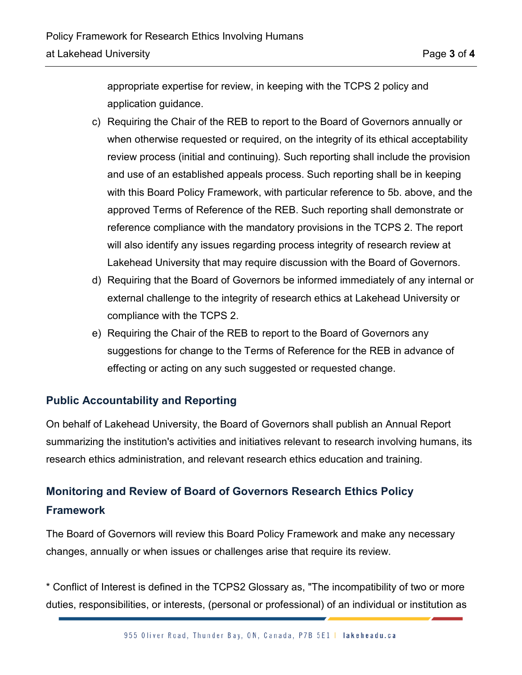appropriate expertise for review, in keeping with the TCPS 2 policy and application guidance.

- c) Requiring the Chair of the REB to report to the Board of Governors annually or when otherwise requested or required, on the integrity of its ethical acceptability review process (initial and continuing). Such reporting shall include the provision and use of an established appeals process. Such reporting shall be in keeping with this Board Policy Framework, with particular reference to 5b. above, and the approved Terms of Reference of the REB. Such reporting shall demonstrate or reference compliance with the mandatory provisions in the TCPS 2. The report will also identify any issues regarding process integrity of research review at Lakehead University that may require discussion with the Board of Governors.
- d) Requiring that the Board of Governors be informed immediately of any internal or external challenge to the integrity of research ethics at Lakehead University or compliance with the TCPS 2.
- e) Requiring the Chair of the REB to report to the Board of Governors any suggestions for change to the Terms of Reference for the REB in advance of effecting or acting on any such suggested or requested change.

### **Public Accountability and Reporting**

On behalf of Lakehead University, the Board of Governors shall publish an Annual Report summarizing the institution's activities and initiatives relevant to research involving humans, its research ethics administration, and relevant research ethics education and training.

## **Monitoring and Review of Board of Governors Research Ethics Policy Framework**

The Board of Governors will review this Board Policy Framework and make any necessary changes, annually or when issues or challenges arise that require its review.

\* Conflict of Interest is defined in the TCPS2 Glossary as, "The incompatibility of two or more duties, responsibilities, or interests, (personal or professional) of an individual or institution as